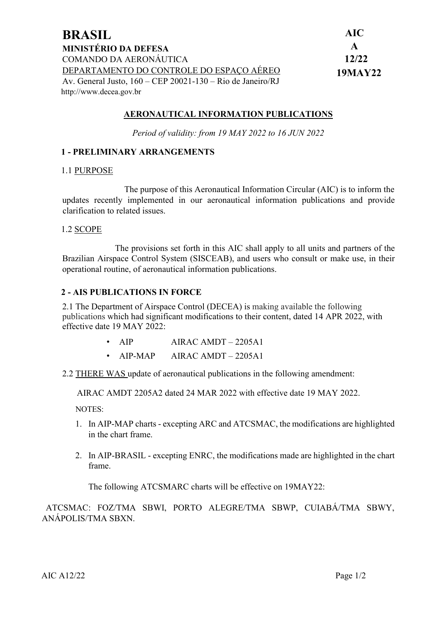| <b>BRASIL</b>                                                | <b>AIC</b>   |
|--------------------------------------------------------------|--------------|
| <b>MINISTÉRIO DA DEFESA</b>                                  | $\mathbf{A}$ |
| COMANDO DA AERONÁUTICA                                       | 12/22        |
| DEPARTAMENTO DO CONTROLE DO ESPAÇO AÉREO                     | 19MAY22      |
| Av. General Justo, $160 - CEP$ 20021-130 – Rio de Janeiro/RJ |              |
| http://www.decea.gov.br                                      |              |

### **AERONAUTICAL INFORMATION PUBLICATIONS**

*Period of validity: from 19 MAY 2022 to 16 JUN 2022*

### **1 - PRELIMINARY ARRANGEMENTS**

#### 1.1 PURPOSE

The purpose of this Aeronautical Information Circular (AIC) is to inform the updates recently implemented in our aeronautical information publications and provide clarification to related issues.

#### 1.2 SCOPE

The provisions set forth in this AIC shall apply to all units and partners of the Brazilian Airspace Control System (SISCEAB), and users who consult or make use, in their operational routine, of aeronautical information publications.

#### **2 - AIS PUBLICATIONS IN FORCE**

2.1 The Department of Airspace Control (DECEA) is making available the following publications which had significant modifications to their content, dated 14 APR 2022, with effective date 19 MAY 2022:

- AIP AIRAC AMDT 2205A1
- AIP-MAP AIRAC AMDT 2205A1
- 2.2 THERE WAS update of aeronautical publications in the following amendment:

AIRAC AMDT 2205A2 dated 24 MAR 2022 with effective date 19 MAY 2022.

NOTES:

- 1. In AIP-MAP charts excepting ARC and ATCSMAC, the modifications are highlighted in the chart frame.
- 2. In AIP-BRASIL excepting ENRC, the modifications made are highlighted in the chart frame.

The following ATCSMARC charts will be effective on 19MAY22:

 ATCSMAC: FOZ/TMA SBWI, PORTO ALEGRE/TMA SBWP, CUIABÁ/TMA SBWY, ANÁPOLIS/TMA SBXN.